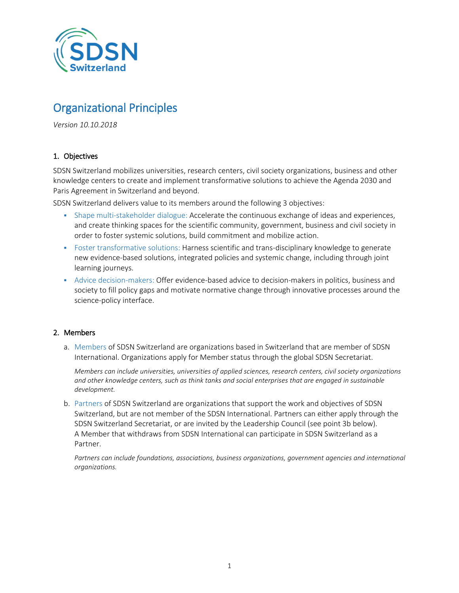

# Organizational Principles

*Version 10.10.2018*

## 1. Objectives

SDSN Switzerland mobilizes universities, research centers, civil society organizations, business and other knowledge centers to create and implement transformative solutions to achieve the Agenda 2030 and Paris Agreement in Switzerland and beyond.

SDSN Switzerland delivers value to its members around the following 3 objectives:

- Shape multi-stakeholder dialogue: Accelerate the continuous exchange of ideas and experiences, and create thinking spaces for the scientific community, government, business and civil society in order to foster systemic solutions, build commitment and mobilize action.
- Foster transformative solutions: Harness scientific and trans-disciplinary knowledge to generate new evidence-based solutions, integrated policies and systemic change, including through joint learning journeys.
- Advice decision-makers: Offer evidence-based advice to decision-makers in politics, business and society to fill policy gaps and motivate normative change through innovative processes around the science-policy interface.

#### 2. Members

a. Members of SDSN Switzerland are organizations based in Switzerland that are member of SDSN International. Organizations apply for Member status through the global SDSN Secretariat.

*Members can include universities, universities of applied sciences, research centers, civil society organizations and other knowledge centers, such as think tanks and social enterprises that are engaged in sustainable development.*

b. Partners of SDSN Switzerland are organizations that support the work and objectives of SDSN Switzerland, but are not member of the SDSN International. Partners can either apply through the SDSN Switzerland Secretariat, or are invited by the Leadership Council (see point 3b below). A Member that withdraws from SDSN International can participate in SDSN Switzerland as a Partner.

*Partners can include foundations, associations, business organizations, government agencies and international organizations.*